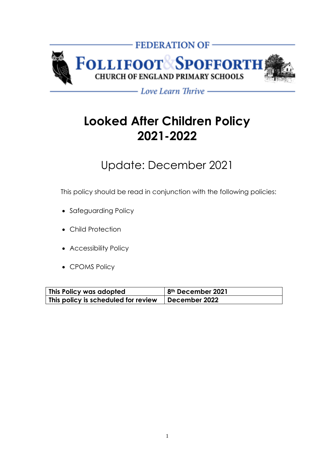

- Love Learn Thrive -

# **Looked After Children Policy 2021-2022**

## Update: December 2021

This policy should be read in conjunction with the following policies:

- Safeguarding Policy
- Child Protection
- Accessibility Policy
- CPOMS Policy

| This Policy was adopted             | 8 <sup>th</sup> December 2021 |
|-------------------------------------|-------------------------------|
| This policy is scheduled for review | December 2022                 |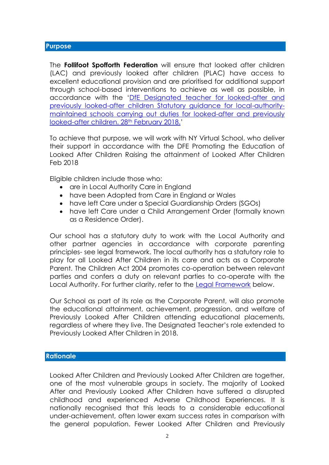The **Follifoot Spofforth Federation** will ensure that looked after children (LAC) and previously looked after children (PLAC) have access to excellent educational provision and are prioritised for additional support through school-based interventions to achieve as well as possible, in accordance with the '[DfE Designated teacher for looked-after and](https://assets.publishing.service.gov.uk/government/uploads/system/uploads/attachment_data/file/683561/The_designated_teacher_for_looked-after_and_previously_looked-after_children.pdf)  [previously looked-after children Statutory guidance for local-authority](https://assets.publishing.service.gov.uk/government/uploads/system/uploads/attachment_data/file/683561/The_designated_teacher_for_looked-after_and_previously_looked-after_children.pdf)[maintained schools carrying out duties for looked-after and previously](https://assets.publishing.service.gov.uk/government/uploads/system/uploads/attachment_data/file/683561/The_designated_teacher_for_looked-after_and_previously_looked-after_children.pdf)  [looked-after children. 28](https://assets.publishing.service.gov.uk/government/uploads/system/uploads/attachment_data/file/683561/The_designated_teacher_for_looked-after_and_previously_looked-after_children.pdf)th February 2018.'

To achieve that purpose, we will work with NY Virtual School, who deliver their support in accordance with the DFE Promoting the Education of Looked After Children Raising the attainment of Looked After Children Feb 2018

Eligible children include those who:

- are in Local Authority Care in England
- have been Adopted from Care in England or Wales
- have left Care under a Special Guardianship Orders (SGOs)
- have left Care under a Child Arrangement Order (formally known as a Residence Order).

Our school has a statutory duty to work with the Local Authority and other partner agencies in accordance with corporate parenting principles- see legal framework. The local authority has a statutory role to play for all Looked After Children in its care and acts as a Corporate Parent. The Children Act 2004 promotes co-operation between relevant parties and confers a duty on relevant parties to co-operate with the Local Authority. For further clarity, refer to the Legal Framework below.

Our School as part of its role as the Corporate Parent, will also promote the educational attainment, achievement, progression, and welfare of Previously Looked After Children attending educational placements, regardless of where they live. The Designated Teacher's role extended to Previously Looked After Children in 2018.

#### **Rationale**

Looked After Children and Previously Looked After Children are together, one of the most vulnerable groups in society. The majority of Looked After and Previously Looked After Children have suffered a disrupted childhood and experienced Adverse Childhood Experiences. It is nationally recognised that this leads to a considerable educational under-achievement, often lower exam success rates in comparison with the general population. Fewer Looked After Children and Previously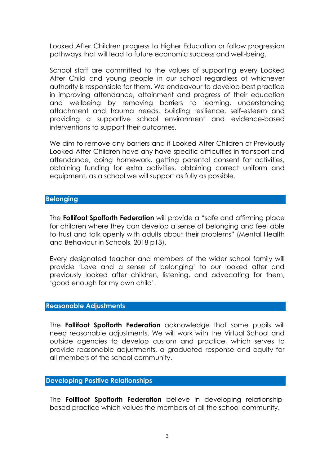Looked After Children progress to Higher Education or follow progression pathways that will lead to future economic success and well-being.

School staff are committed to the values of supporting every Looked After Child and young people in our school regardless of whichever authority is responsible for them. We endeavour to develop best practice in improving attendance, attainment and progress of their education and wellbeing by removing barriers to learning, understanding attachment and trauma needs, building resilience, self-esteem and providing a supportive school environment and evidence-based interventions to support their outcomes.

We aim to remove any barriers and if Looked After Children or Previously Looked After Children have any have specific difficulties in transport and attendance, doing homework, getting parental consent for activities, obtaining funding for extra activities, obtaining correct uniform and equipment, as a school we will support as fully as possible.

#### **Belonging**

The **Follifoot Spofforth Federation** will provide a "safe and affirming place for children where they can develop a sense of belonging and feel able to trust and talk openly with adults about their problems" (Mental Health and Behaviour in Schools, 2018 p13).

Every designated teacher and members of the wider school family will provide 'Love and a sense of belonging' to our looked after and previously looked after children, listening, and advocating for them, 'good enough for my own child'.

#### **Reasonable Adjustments**

The **Follifoot Spofforth Federation** acknowledge that some pupils will need reasonable adjustments. We will work with the Virtual School and outside agencies to develop custom and practice, which serves to provide reasonable adjustments, a graduated response and equity for all members of the school community.

#### **Developing Positive Relationships**

The **Follifoot Spofforth Federation** believe in developing relationshipbased practice which values the members of all the school community.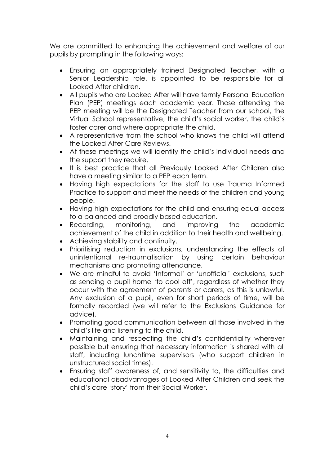We are committed to enhancing the achievement and welfare of our pupils by prompting in the following ways:

- Ensuring an appropriately trained Designated Teacher, with a Senior Leadership role, is appointed to be responsible for all Looked After children.
- All pupils who are Looked After will have termly Personal Education Plan (PEP) meetings each academic year. Those attending the PEP meeting will be the Designated Teacher from our school, the Virtual School representative, the child's social worker, the child's foster carer and where appropriate the child.
- A representative from the school who knows the child will attend the Looked After Care Reviews.
- At these meetings we will identify the child's individual needs and the support they require.
- It is best practice that all Previously Looked After Children also have a meeting similar to a PEP each term.
- Having high expectations for the staff to use Trauma Informed Practice to support and meet the needs of the children and young people.
- Having high expectations for the child and ensuring equal access to a balanced and broadly based education.
- Recording, monitoring, and improving the academic achievement of the child in addition to their health and wellbeing.
- Achieving stability and continuity.
- Prioritising reduction in exclusions, understanding the effects of unintentional re-traumatisation by using certain behaviour mechanisms and promoting attendance.
- We are mindful to avoid 'Informal' or 'unofficial' exclusions, such as sending a pupil home 'to cool off', regardless of whether they occur with the agreement of parents or carers, as this is unlawful. Any exclusion of a pupil, even for short periods of time, will be formally recorded (we will refer to the Exclusions Guidance for advice).
- Promoting good communication between all those involved in the child's life and listening to the child.
- Maintaining and respecting the child's confidentiality wherever possible but ensuring that necessary information is shared with all staff, including lunchtime supervisors (who support children in unstructured social times).
- Ensuring staff awareness of, and sensitivity to, the difficulties and educational disadvantages of Looked After Children and seek the child's care 'story' from their Social Worker.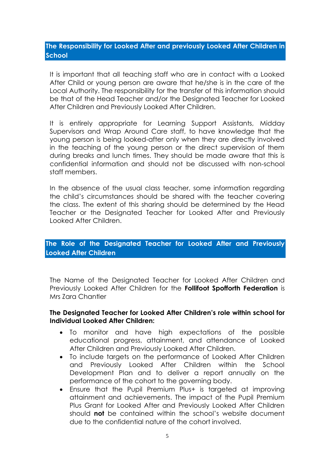## **The Responsibility for Looked After and previously Looked After Children in School**

It is important that all teaching staff who are in contact with a Looked After Child or young person are aware that he/she is in the care of the Local Authority. The responsibility for the transfer of this information should be that of the Head Teacher and/or the Designated Teacher for Looked After Children and Previously Looked After Children.

It is entirely appropriate for Learning Support Assistants, Midday Supervisors and Wrap Around Care staff, to have knowledge that the young person is being looked-after only when they are directly involved in the teaching of the young person or the direct supervision of them during breaks and lunch times. They should be made aware that this is confidential information and should not be discussed with non-school staff members.

In the absence of the usual class teacher, some information regarding the child's circumstances should be shared with the teacher covering the class. The extent of this sharing should be determined by the Head Teacher or the Designated Teacher for Looked After and Previously Looked After Children.

## **The Role of the Designated Teacher for Looked After and Previously Looked After Children**

The Name of the Designated Teacher for Looked After Children and Previously Looked After Children for the **Follifoot Spofforth Federation** is Mrs Zara Chantler

#### **The Designated Teacher for Looked After Children's role within school for Individual Looked After Children:**

- To monitor and have high expectations of the possible educational progress, attainment, and attendance of Looked After Children and Previously Looked After Children.
- To include targets on the performance of Looked After Children and Previously Looked After Children within the School Development Plan and to deliver a report annually on the performance of the cohort to the governing body.
- Ensure that the Pupil Premium Plus+ is targeted at improving attainment and achievements. The impact of the Pupil Premium Plus Grant for Looked After and Previously Looked After Children should **not** be contained within the school's website document due to the confidential nature of the cohort involved.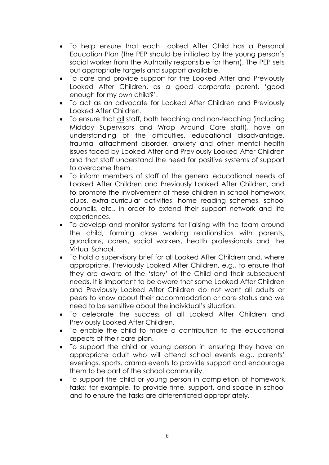- To help ensure that each Looked After Child has a Personal Education Plan (the PEP should be initiated by the young person's social worker from the Authority responsible for them). The PEP sets out appropriate targets and support available.
- To care and provide support for the Looked After and Previously Looked After Children, as a good corporate parent, 'good enough for my own child?'.
- To act as an advocate for Looked After Children and Previously Looked After Children.
- To ensure that all staff, both teaching and non-teaching (including Midday Supervisors and Wrap Around Care staff), have an understanding of the difficulties, educational disadvantage, trauma, attachment disorder, anxiety and other mental health issues faced by Looked After and Previously Looked After Children and that staff understand the need for positive systems of support to overcome them.
- To inform members of staff of the general educational needs of Looked After Children and Previously Looked After Children, and to promote the involvement of these children in school homework clubs, extra-curricular activities, home reading schemes, school councils, etc., in order to extend their support network and life experiences.
- To develop and monitor systems for liaising with the team around the child, forming close working relationships with parents, guardians, carers, social workers, health professionals and the Virtual School.
- To hold a supervisory brief for all Looked After Children and, where appropriate, Previously Looked After Children, e.g., to ensure that they are aware of the 'story' of the Child and their subsequent needs. It is important to be aware that some Looked After Children and Previously Looked After Children do not want all adults or peers to know about their accommodation or care status and we need to be sensitive about the individual's situation.
- To celebrate the success of all Looked After Children and Previously Looked After Children.
- To enable the child to make a contribution to the educational aspects of their care plan.
- To support the child or young person in ensuring they have an appropriate adult who will attend school events e.g., parents' evenings, sports, drama events to provide support and encourage them to be part of the school community.
- To support the child or young person in completion of homework tasks; for example, to provide time, support, and space in school and to ensure the tasks are differentiated appropriately.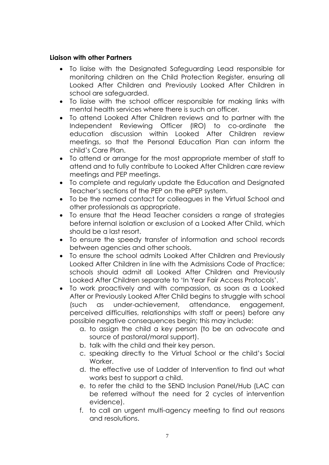## **Liaison with other Partners**

- To liaise with the Designated Safeguarding Lead responsible for monitoring children on the Child Protection Register, ensuring all Looked After Children and Previously Looked After Children in school are safeguarded.
- To liaise with the school officer responsible for making links with mental health services where there is such an officer.
- To attend Looked After Children reviews and to partner with the Independent Reviewing Officer (IRO) to co-ordinate the education discussion within Looked After Children review meetings, so that the Personal Education Plan can inform the child's Care Plan.
- To attend or arrange for the most appropriate member of staff to attend and to fully contribute to Looked After Children care review meetings and PEP meetings.
- To complete and regularly update the Education and Designated Teacher's sections of the PEP on the ePEP system.
- To be the named contact for colleagues in the Virtual School and other professionals as appropriate.
- To ensure that the Head Teacher considers a range of strategies before internal isolation or exclusion of a Looked After Child, which should be a last resort.
- To ensure the speedy transfer of information and school records between agencies and other schools.
- To ensure the school admits Looked After Children and Previously Looked After Children in line with the Admissions Code of Practice; schools should admit all Looked After Children and Previously Looked After Children separate to 'In Year Fair Access Protocols'.
- To work proactively and with compassion, as soon as a Looked After or Previously Looked After Child begins to struggle with school (such as under-achievement, attendance, engagement, perceived difficulties, relationships with staff or peers) before any possible negative consequences begin; this may include:
	- a. to assign the child a key person (to be an advocate and source of pastoral/moral support).
	- b. talk with the child and their key person.
	- c. speaking directly to the Virtual School or the child's Social Worker
	- d. the effective use of Ladder of Intervention to find out what works best to support a child.
	- e. to refer the child to the SEND Inclusion Panel/Hub (LAC can be referred without the need for 2 cycles of intervention evidence).
	- f. to call an urgent multi-agency meeting to find out reasons and resolutions.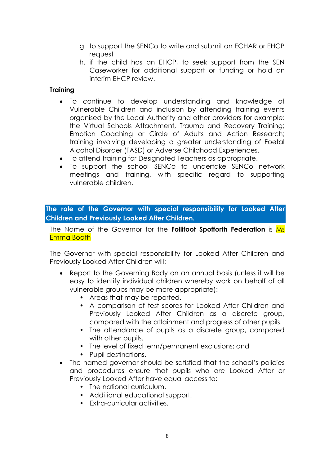- g. to support the SENCo to write and submit an ECHAR or EHCP request
- h. if the child has an EHCP, to seek support from the SEN Caseworker for additional support or funding or hold an interim EHCP review.

## **Training**

- To continue to develop understanding and knowledge of Vulnerable Children and inclusion by attending training events organised by the Local Authority and other providers for example: the Virtual Schools Attachment, Trauma and Recovery Training; Emotion Coaching or Circle of Adults and Action Research; training involving developing a greater understanding of Foetal Alcohol Disorder (FASD) or Adverse Childhood Experiences.
- To attend training for Designated Teachers as appropriate.
- To support the school SENCo to undertake SENCo network meetings and training, with specific regard to supporting vulnerable children.

**The role of the Governor with special responsibility for Looked After Children and Previously Looked After Children.**

The Name of the Governor for the **Follifoot Spofforth Federation** is Ms Emma Booth

The Governor with special responsibility for Looked After Children and Previously Looked After Children will:

- Report to the Governing Body on an annual basis (unless it will be easy to identify individual children whereby work on behalf of all vulnerable groups may be more appropriate):
	- Areas that may be reported.
	- A comparison of test scores for Looked After Children and Previously Looked After Children as a discrete group, compared with the attainment and progress of other pupils.
	- The attendance of pupils as a discrete group, compared with other pupils.
	- The level of fixed term/permanent exclusions; and
	- Pupil destinations.
- The named governor should be satisfied that the school's policies and procedures ensure that pupils who are Looked After or Previously Looked After have equal access to:
	- The national curriculum.
	- Additional educational support.
	- Extra-curricular activities.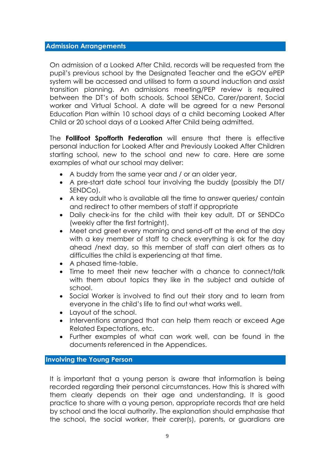#### **Admission Arrangements**

On admission of a Looked After Child, records will be requested from the pupil's previous school by the Designated Teacher and the eGOV ePEP system will be accessed and utilised to form a sound induction and assist transition planning. An admissions meeting/PEP review is required between the DT's of both schools, School SENCo, Carer/parent, Social worker and Virtual School. A date will be agreed for a new Personal Education Plan within 10 school days of a child becoming Looked After Child or 20 school days of a Looked After Child being admitted.

The **Follifoot Spofforth Federation** will ensure that there is effective personal induction for Looked After and Previously Looked After Children starting school, new to the school and new to care. Here are some examples of what our school may deliver:

- A buddy from the same year and / or an older year,
- A pre-start date school tour involving the buddy (possibly the DT/ SENDCo).
- A key adult who is available all the time to answer queries/ contain and redirect to other members of staff if appropriate
- Daily check-ins for the child with their key adult, DT or SENDCo (weekly after the first fortnight).
- Meet and greet every morning and send-off at the end of the day with a key member of staff to check everything is ok for the day ahead /next day, so this member of staff can alert others as to difficulties the child is experiencing at that time.
- A phased time-table.
- Time to meet their new teacher with a chance to connect/talk with them about topics they like in the subject and outside of school.
- Social Worker is involved to find out their story and to learn from everyone in the child's life to find out what works well.
- Layout of the school.
- Interventions arranged that can help them reach or exceed Age Related Expectations, etc.
- Further examples of what can work well, can be found in the documents referenced in the Appendices.

#### **Involving the Young Person**

It is important that a young person is aware that information is being recorded regarding their personal circumstances. How this is shared with them clearly depends on their age and understanding. It is good practice to share with a young person, appropriate records that are held by school and the local authority. The explanation should emphasise that the school, the social worker, their carer(s), parents, or guardians are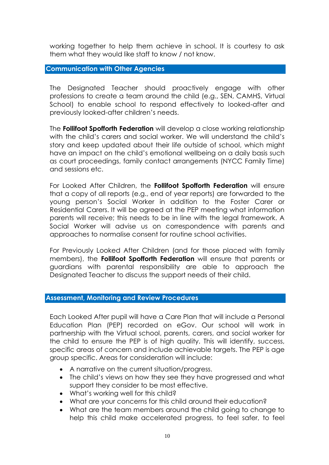working together to help them achieve in school. It is courtesy to ask them what they would like staff to know / not know.

**Communication with Other Agencies**

The Designated Teacher should proactively engage with other professions to create a team around the child (e.g., SEN, CAMHS, Virtual School) to enable school to respond effectively to looked-after and previously looked-after children's needs.

The **Follifoot Spofforth Federation** will develop a close working relationship with the child's carers and social worker. We will understand the child's story and keep updated about their life outside of school, which might have an impact on the child's emotional wellbeing on a daily basis such as court proceedings, family contact arrangements (NYCC Family Time) and sessions etc.

For Looked After Children, the **Follifoot Spofforth Federation** will ensure that a copy of all reports (e.g., end of year reports) are forwarded to the young person's Social Worker in addition to the Foster Carer or Residential Carers. It will be agreed at the PEP meeting what information parents will receive; this needs to be in line with the legal framework. A Social Worker will advise us on correspondence with parents and approaches to normalise consent for routine school activities.

For Previously Looked After Children (and for those placed with family members), the **Follifoot Spofforth Federation** will ensure that parents or guardians with parental responsibility are able to approach the Designated Teacher to discuss the support needs of their child.

## **Assessment, Monitoring and Review Procedures**

Each Looked After pupil will have a Care Plan that will include a Personal Education Plan (PEP) recorded on eGov. Our school will work in partnership with the Virtual school, parents, carers, and social worker for the child to ensure the PEP is of high quality. This will identify, success, specific areas of concern and include achievable targets. The PEP is age group specific. Areas for consideration will include:

- A narrative on the current situation/progress.
- The child's views on how they see they have progressed and what support they consider to be most effective.
- What's working well for this child?
- What are your concerns for this child around their education?
- What are the team members around the child going to change to help this child make accelerated progress, to feel safer, to feel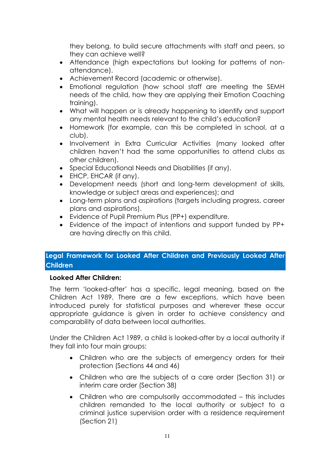they belong, to build secure attachments with staff and peers, so they can achieve well?

- Attendance (high expectations but looking for patterns of nonattendance).
- Achievement Record (academic or otherwise).
- Emotional regulation (how school staff are meeting the SEMH needs of the child, how they are applying their Emotion Coaching training).
- What will happen or is already happening to identify and support any mental health needs relevant to the child's education?
- Homework (for example, can this be completed in school, at a club).
- Involvement in Extra Curricular Activities (many looked after children haven't had the same opportunities to attend clubs as other children).
- Special Educational Needs and Disabilities (if any).
- EHCP, EHCAR (if any).
- Development needs (short and long-term development of skills, knowledge or subject areas and experiences); and
- Long-term plans and aspirations (targets including progress, career plans and aspirations).
- Evidence of Pupil Premium Plus (PP+) expenditure.
- Evidence of the impact of intentions and support funded by PP+ are having directly on this child.

## **Legal Framework for Looked After Children and Previously Looked After Children**

## **Looked After Children:**

The term 'looked-after' has a specific, legal meaning, based on the Children Act 1989, There are a few exceptions, which have been introduced purely for statistical purposes and wherever these occur appropriate guidance is given in order to achieve consistency and comparability of data between local authorities.

Under the Children Act 1989, a child is looked-after by a local authority if they fall into four main groups:

- Children who are the subjects of emergency orders for their protection (Sections 44 and 46)
- Children who are the subjects of a care order (Section 31) or interim care order (Section 38)
- Children who are compulsorily accommodated this includes children remanded to the local authority or subject to a criminal justice supervision order with a residence requirement (Section 21)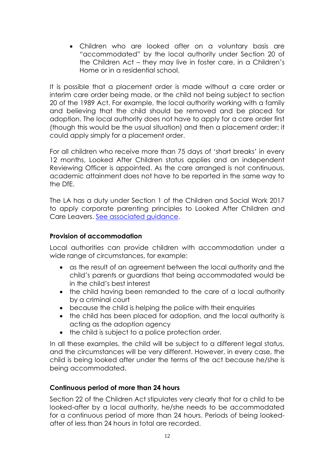• Children who are looked after on a voluntary basis are "accommodated" by the local authority under Section 20 of the Children Act – they may live in foster care, in a Children's Home or in a residential school.

It is possible that a placement order is made without a care order or interim care order being made, or the child not being subject to section 20 of the 1989 Act. For example, the local authority working with a family and believing that the child should be removed and be placed for adoption. The local authority does not have to apply for a care order first (though this would be the usual situation) and then a placement order; it could apply simply for a placement order.

For all children who receive more than 75 days of 'short breaks' in every 12 months, Looked After Children status applies and an independent Reviewing Officer is appointed. As the care arranged is not continuous, academic attainment does not have to be reported in the same way to the DfE.

The LA has a duty under Section 1 of the Children and Social Work 2017 to apply corporate parenting principles to Looked After Children and Care Leavers. [See associated guidance.](https://assets.publishing.service.gov.uk/government/uploads/system/uploads/attachment_data/file/683698/Applying_corporate_parenting_principles_to_looked-after_children_and_care_leavers.pdf)

## **Provision of accommodation**

Local authorities can provide children with accommodation under a wide range of circumstances, for example:

- as the result of an agreement between the local authority and the child's parents or guardians that being accommodated would be in the child's best interest
- the child having been remanded to the care of a local authority by a criminal court
- because the child is helping the police with their enquiries
- the child has been placed for adoption, and the local authority is acting as the adoption agency
- the child is subject to a police protection order.

In all these examples, the child will be subject to a different legal status, and the circumstances will be very different. However, in every case, the child is being looked after under the terms of the act because he/she is being accommodated.

## **Continuous period of more than 24 hours**

Section 22 of the Children Act stipulates very clearly that for a child to be looked-after by a local authority, he/she needs to be accommodated for a continuous period of more than 24 hours. Periods of being lookedafter of less than 24 hours in total are recorded.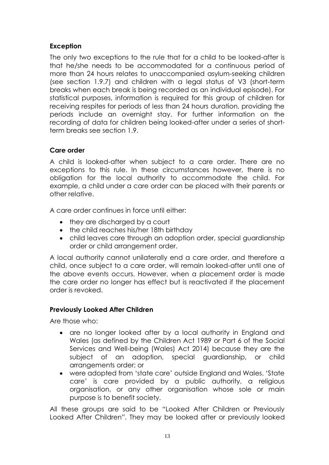## **Exception**

The only two exceptions to the rule that for a child to be looked-after is that he/she needs to be accommodated for a continuous period of more than 24 hours relates to unaccompanied asylum-seeking children (see section 1.9.7) and children with a legal status of V3 (short-term breaks when each break is being recorded as an individual episode). For statistical purposes, information is required for this group of children for receiving respites for periods of less than 24 hours duration, providing the periods include an overnight stay. For further information on the recording of data for children being looked-after under a series of shortterm breaks see section 1.9.

## **Care order**

A child is looked-after when subject to a care order. There are no exceptions to this rule. In these circumstances however, there is no obligation for the local authority to accommodate the child. For example, a child under a care order can be placed with their parents or other relative.

A care order continues in force until either:

- they are discharged by a court
- the child reaches his/her 18th birthday
- child leaves care through an adoption order, special guardianship order or child arrangement order.

A local authority cannot unilaterally end a care order, and therefore a child, once subject to a care order, will remain looked-after until one of the above events occurs. However, when a placement order is made the care order no longer has effect but is reactivated if the placement order is revoked.

## **Previously Looked After Children**

Are those who:

- are no longer looked after by a local authority in England and Wales (as defined by the Children Act 1989 or Part 6 of the Social Services and Well-being (Wales) Act 2014) because they are the subject of an adoption, special guardianship, or child arrangements order; or
- were adopted from 'state care' outside England and Wales. 'State care' is care provided by a public authority, a religious organisation, or any other organisation whose sole or main purpose is to benefit society.

All these groups are said to be "Looked After Children or Previously Looked After Children". They may be looked after or previously looked